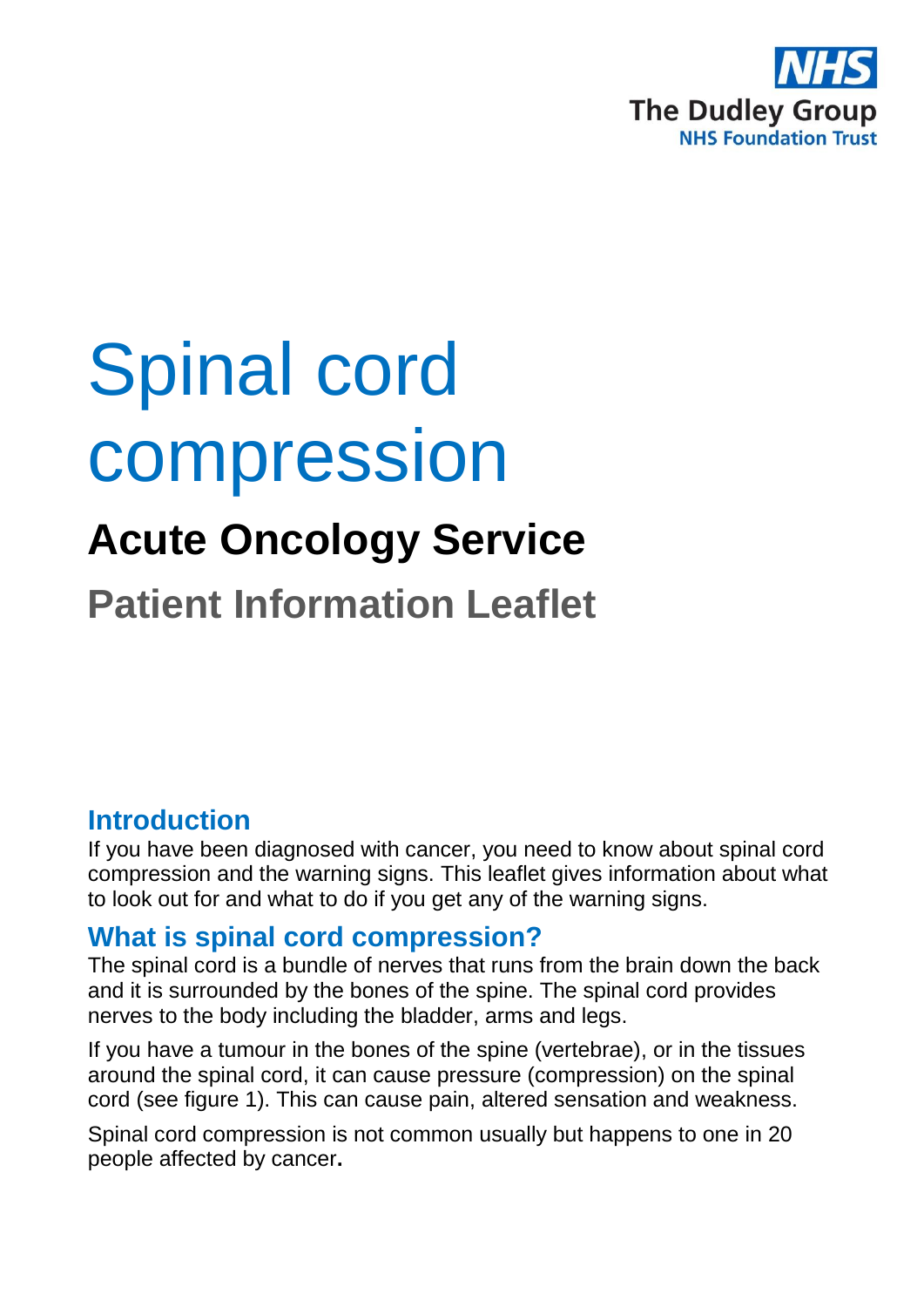

# Spinal cord compression

## **Acute Oncology Service**

**Patient Information Leaflet**

#### **Introduction**

If you have been diagnosed with cancer, you need to know about spinal cord compression and the warning signs. This leaflet gives information about what to look out for and what to do if you get any of the warning signs.

#### **What is spinal cord compression?**

The spinal cord is a bundle of nerves that runs from the brain down the back and it is surrounded by the bones of the spine. The spinal cord provides nerves to the body including the bladder, arms and legs.

If you have a tumour in the bones of the spine (vertebrae), or in the tissues around the spinal cord, it can cause pressure (compression) on the spinal cord (see figure 1). This can cause pain, altered sensation and weakness.

Spinal cord compression is not common usually but happens to one in 20 people affected by cancer**.**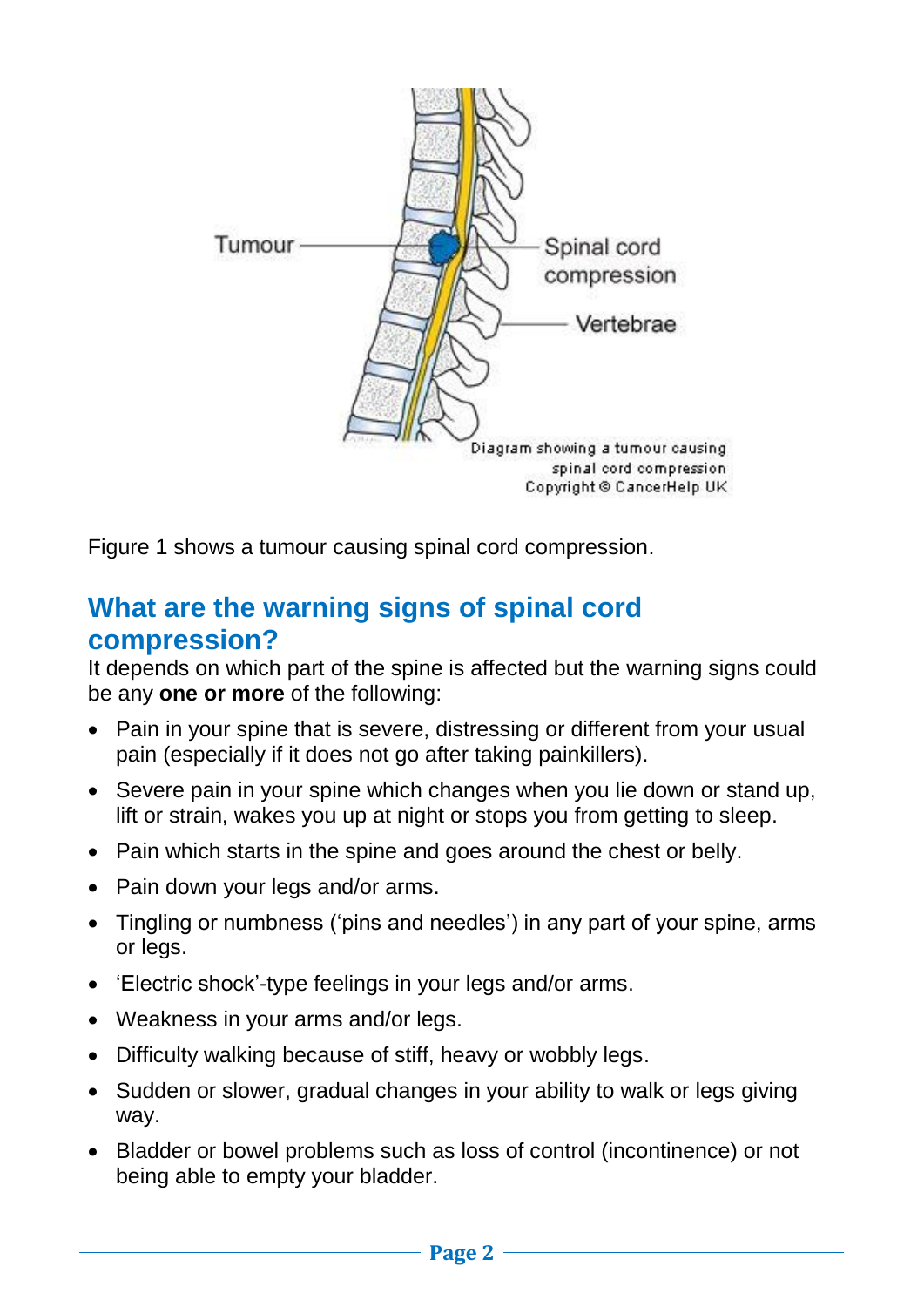

Figure 1 shows a tumour causing spinal cord compression.

#### **What are the warning signs of spinal cord compression?**

It depends on which part of the spine is affected but the warning signs could be any **one or more** of the following:

- Pain in your spine that is severe, distressing or different from your usual pain (especially if it does not go after taking painkillers).
- Severe pain in your spine which changes when you lie down or stand up, lift or strain, wakes you up at night or stops you from getting to sleep.
- Pain which starts in the spine and goes around the chest or belly.
- Pain down your legs and/or arms.
- Tingling or numbness ('pins and needles') in any part of your spine, arms or legs.
- 'Electric shock'-type feelings in your legs and/or arms.
- Weakness in your arms and/or legs.
- Difficulty walking because of stiff, heavy or wobbly legs.
- Sudden or slower, gradual changes in your ability to walk or legs giving way.
- Bladder or bowel problems such as loss of control (incontinence) or not being able to empty your bladder.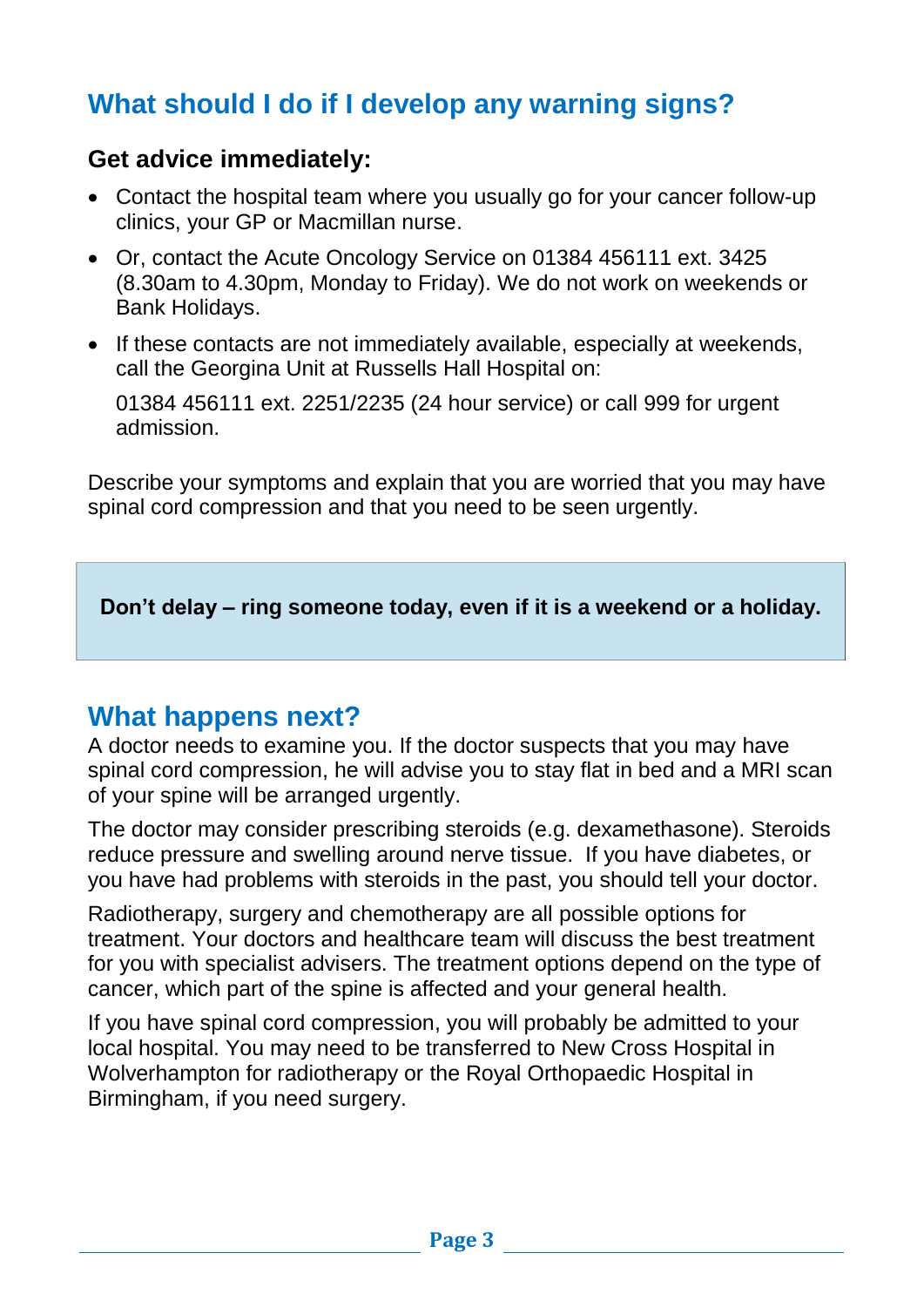### **What should I do if I develop any warning signs?**

#### **Get advice immediately:**

- Contact the hospital team where you usually go for your cancer follow-up clinics, your GP or Macmillan nurse.
- Or, contact the Acute Oncology Service on 01384 456111 ext. 3425 (8.30am to 4.30pm, Monday to Friday). We do not work on weekends or Bank Holidays.
- If these contacts are not immediately available, especially at weekends, call the Georgina Unit at Russells Hall Hospital on:

01384 456111 ext. 2251/2235 (24 hour service) or call 999 for urgent admission.

Describe your symptoms and explain that you are worried that you may have spinal cord compression and that you need to be seen urgently.

**Don't delay – ring someone today, even if it is a weekend or a holiday.**

#### **What happens next?**

A doctor needs to examine you. If the doctor suspects that you may have spinal cord compression, he will advise you to stay flat in bed and a MRI scan of your spine will be arranged urgently.

The doctor may consider prescribing steroids (e.g. dexamethasone). Steroids reduce pressure and swelling around nerve tissue. If you have diabetes, or you have had problems with steroids in the past, you should tell your doctor.

Radiotherapy, surgery and chemotherapy are all possible options for treatment. Your doctors and healthcare team will discuss the best treatment for you with specialist advisers. The treatment options depend on the type of cancer, which part of the spine is affected and your general health.

If you have spinal cord compression, you will probably be admitted to your local hospital. You may need to be transferred to New Cross Hospital in Wolverhampton for radiotherapy or the Royal Orthopaedic Hospital in Birmingham, if you need surgery.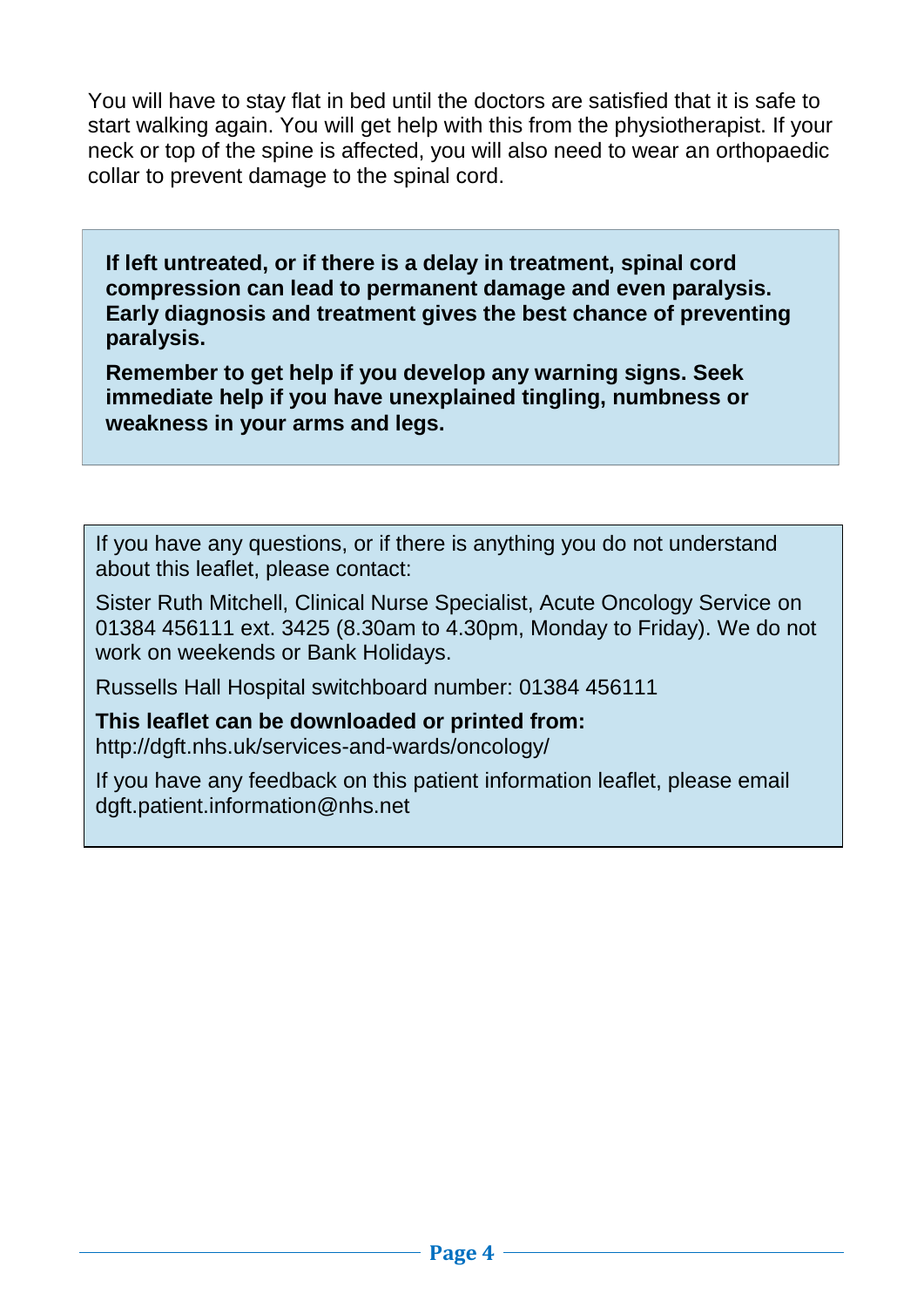You will have to stay flat in bed until the doctors are satisfied that it is safe to start walking again. You will get help with this from the physiotherapist. If your neck or top of the spine is affected, you will also need to wear an orthopaedic collar to prevent damage to the spinal cord.

**If left untreated, or if there is a delay in treatment, spinal cord compression can lead to permanent damage and even paralysis. Early diagnosis and treatment gives the best chance of preventing paralysis.**

**Remember to get help if you develop any warning signs. Seek immediate help if you have unexplained tingling, numbness or weakness in your arms and legs.**

If you have any questions, or if there is anything you do not understand about this leaflet, please contact:

Sister Ruth Mitchell, Clinical Nurse Specialist, Acute Oncology Service on 01384 456111 ext. 3425 (8.30am to 4.30pm, Monday to Friday). We do not work on weekends or Bank Holidays.

Russells Hall Hospital switchboard number: 01384 456111

**This leaflet can be downloaded or printed from:** http://dgft.nhs.uk/services-and-wards/oncology/

If you have any feedback on this patient information leaflet, please email dgft.patient.information@nhs.net